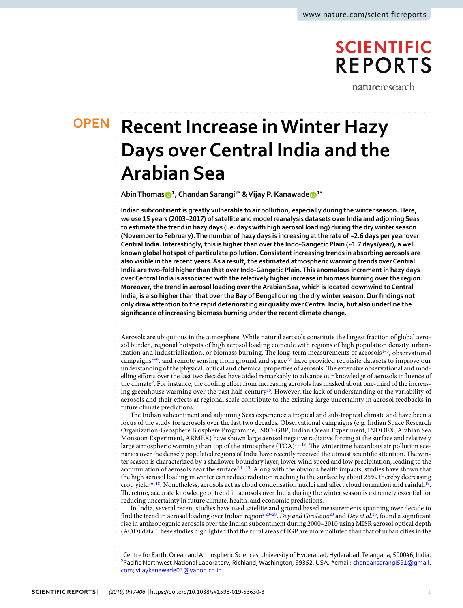# **SCIENTIFIC REPORTS**

natureresearch

# **OPEN**

# **Recent Increase in Winter Hazy Days over Central India and the Arabian Sea**

**Abin Thomas<sup>1</sup> , Chandan Sarangi2\* & Vijay P. Kanawad[e](http://orcid.org/0000-0001-5611-3029) 1\***

**Indian subcontinent is greatly vulnerable to air pollution, especially during the winter season. Here, we use 15 years (2003–2017) of satellite and model reanalysis datasets over India and adjoining Seas to estimate the trend in hazy days (i.e. days with high aerosol loading) during the dry winter season (November to February). The number of hazy days is increasing at the rate of ~2.6 days per year over Central India. Interestingly, this is higher than over the Indo-Gangetic Plain (~1.7 days/year), a well known global hotspot of particulate pollution. Consistent increasing trends in absorbing aerosols are also visible in the recent years. As a result, the estimated atmospheric warming trends over Central India are two-fold higher than that over Indo-Gangetic Plain. This anomalous increment in hazy days over Central India is associated with the relatively higher increase in biomass burning over the region. Moreover, the trend in aerosol loading over the Arabian Sea, which is located downwind to Central India, is also higher than that over the Bay of Bengal during the dry winter season. Our findings not only draw attention to the rapid deteriorating air quality over Central India, but also underline the significance of increasing biomass burning under the recent climate change.**

Aerosols are ubiquitous in the atmosphere. While natural aerosols constitute the largest fraction of global aerosol burden, regional hotspots of high aerosol loading coincide with regions of high population density, urban-ization and industrialization, or biomass burning. The long-term measurements of aerosols<sup>[1](#page-7-0)-3</sup>, observational campaigns $4-6$  $4-6$ , and remote sensing from ground and space<sup>[7](#page-7-4)[,8](#page-7-5)</sup> have provided requisite datasets to improve our understanding of the physical, optical and chemical properties of aerosols. The extensive observational and modelling efforts over the last two decades have aided remarkably to advance our knowledge of aerosols influence of the climate<sup>[9](#page-7-6)</sup>. For instance, the cooling effect from increasing aerosols has masked about one-third of the increas-ing greenhouse warming over the past half-century<sup>[10](#page-7-7)</sup>. However, the lack of understanding of the variability of aerosols and their effects at regional scale contribute to the existing large uncertainty in aerosol feedbacks in future climate predictions.

The Indian subcontinent and adjoining Seas experience a tropical and sub-tropical climate and have been a focus of the study for aerosols over the last two decades. Observational campaigns (e.g. Indian Space Research Organization-Geosphere Biosphere Programme, ISRO-GBP; Indian Ocean Experiment, INDOEX; Arabian Sea Monsoon Experiment, ARMEX) have shown large aerosol negative radiative forcing at the surface and relatively large atmospheric warming than top of the atmosphere  $(TOA)^{11-13}$  $(TOA)^{11-13}$  $(TOA)^{11-13}$ . The wintertime hazardous air pollution scenarios over the densely populated regions of India have recently received the utmost scientific attention. The winter season is characterized by a shallower boundary layer, lower wind speed and low precipitation, leading to the accumulation of aerosols near the surface<sup>[2,](#page-7-10)[14,](#page-7-11)[15](#page-7-12)</sup>. Along with the obvious health impacts, studies have shown that the high aerosol loading in winter can reduce radiation reaching to the surface by about 25%, thereby decreasing crop yield<sup>[16](#page-7-13)-18</sup>. Nonetheless, aerosols act as cloud condensation nuclei and affect cloud formation and rainfall<sup>[19](#page-7-15)</sup>. Therefore, accurate knowledge of trend in aerosols over India during the winter season is extremely essential for reducing uncertainty in future climate, health, and economic predictions.

In India, several recent studies have used satellite and ground based measurements spanning over decade to find the trend in aerosol loading over Indian region<sup>[2](#page-7-10),[20](#page-7-16)-28</sup>. Dey and Girolamo<sup>20</sup> and Dey et al.<sup>[26](#page-7-18)</sup>, found a significant rise in anthropogenic aerosols over the Indian subcontinent during 2000–2010 using MISR aerosol optical depth (AOD) data. These studies highlighted that the rural areas of IGP are more polluted than that of urban cities in the

<sup>1</sup>Centre for Earth, Ocean and Atmospheric Sciences, University of Hyderabad, Hyderabad, Telangana, 500046, India. <sup>2</sup>Pacific Northwest National Laboratory, Richland, Washington, 99352, USA. \*email: [chandansarangi591@gmail.](mailto:chandansarangi591@gmail.com) [com;](mailto:chandansarangi591@gmail.com) [vijaykanawade03@yahoo.co.in](mailto:vijaykanawade03@yahoo.co.in)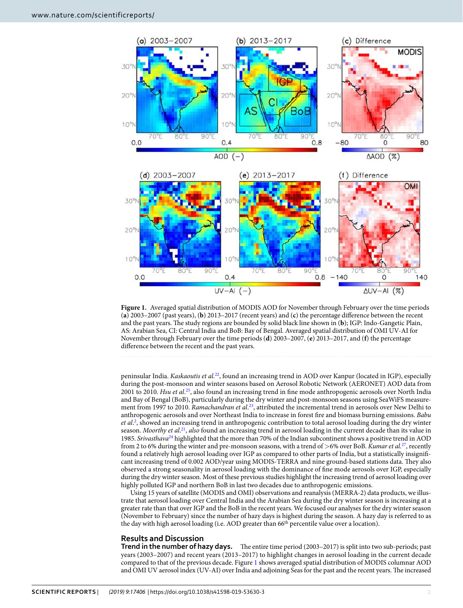

<span id="page-1-0"></span>

peninsular India. Kaskaoutis et al.<sup>[22](#page-7-19)</sup>, found an increasing trend in AOD over Kanpur (located in IGP), especially during the post-monsoon and winter seasons based on Aerosol Robotic Network (AERONET) AOD data from 2001 to 2010. Hsu et al.<sup>[25](#page-7-20)</sup>, also found an increasing trend in fine mode anthropogenic aerosols over North India and Bay of Bengal (BoB), particularly during the dry winter and post-monsoon seasons using SeaWiFS measure-ment from 1997 to 2010. Ramachandran et al.<sup>[23](#page-7-21)</sup>, attributed the incremental trend in aerosols over New Delhi to anthropogenic aerosols and over Northeast India to increase in forest fire and biomass burning emissions. Babu et al.<sup>[2](#page-7-10)</sup>, showed an increasing trend in anthropogenic contribution to total aerosol loading during the dry winter season. Moorthy et al.<sup>[21](#page-7-22)</sup>, also found an increasing trend in aerosol loading in the current decade than its value in 1985. Srivasthava<sup>[24](#page-7-23)</sup> highlighted that the more than 70% of the Indian subcontinent shows a positive trend in AOD from 2 to 6% during the winter and pre-monsoon seasons, with a trend of  $>$ 6% over BoB. Kumar et al.<sup>[27](#page-7-24)</sup>, recently found a relatively high aerosol loading over IGP as compared to other parts of India, but a statistically insignificant increasing trend of 0.002 AOD/year using MODIS-TERRA and nine ground-based stations data. They also observed a strong seasonality in aerosol loading with the dominance of fine mode aerosols over IGP, especially during the dry winter season. Most of these previous studies highlight the increasing trend of aerosol loading over highly polluted IGP and northern BoB in last two decades due to anthropogenic emissions.

Using 15 years of satellite (MODIS and OMI) observations and reanalysis (MERRA-2) data products, we illustrate that aerosol loading over Central India and the Arabian Sea during the dry winter season is increasing at a greater rate than that over IGP and the BoB in the recent years. We focused our analyses for the dry winter season (November to February) since the number of hazy days is highest during the season. A hazy day is referred to as the day with high aerosol loading (i.e. AOD greater than 66<sup>th</sup> percentile value over a location).

### **Results and Discussion**

**Trend in the number of hazy days.** The entire time period (2003–2017) is split into two sub-periods; past years (2003–2007) and recent years (2013–2017) to highlight changes in aerosol loading in the current decade compared to that of the previous decade. Figure [1](#page-1-0) shows averaged spatial distribution of MODIS columnar AOD and OMI UV aerosol index (UV-AI) over India and adjoining Seas for the past and the recent years. The increased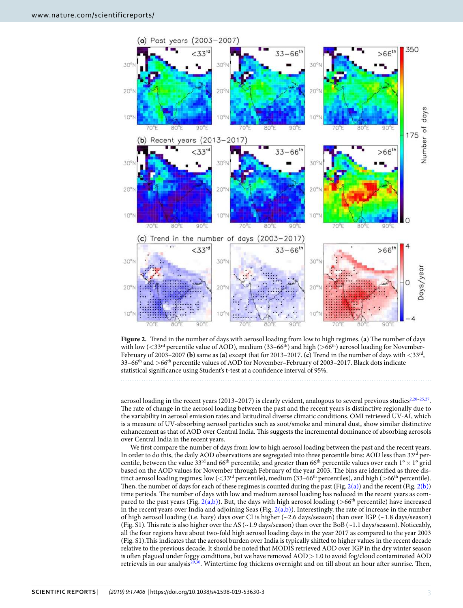

<span id="page-2-0"></span>**Figure 2.** Trend in the number of days with aerosol loading from low to high regimes. (**a**) The number of days with low ( $\langle 33^{\text{rd}}$  percentile value of AOD), medium (33–66<sup>th</sup>) and high ( $>66^{\text{th}}$ ) aerosol loading for November-February of 2003–2007 (**b**) same as (**a**) except that for 2013–2017. (**c**) Trend in the number of days with <33rd , 33–66th and >66th percentile values of AOD for November–February of 2003–2017. Black dots indicate statistical significance using Student's t-test at a confidence interval of 95%.

aerosol loading in the recent years  $(2013-2017)$  is clearly evident, analogous to several previous studies<sup>[2,](#page-7-10)[20–](#page-7-16)[25,](#page-7-20)[27](#page-7-24)</sup>. The rate of change in the aerosol loading between the past and the recent years is distinctive regionally due to the variability in aerosol emission rates and latitudinal diverse climatic conditions. OMI retrieved UV-AI, which is a measure of UV-absorbing aerosol particles such as soot/smoke and mineral dust, show similar distinctive enhancement as that of AOD over Central India. This suggests the incremental dominance of absorbing aerosols over Central India in the recent years.

We first compare the number of days from low to high aerosol loading between the past and the recent years. In order to do this, the daily AOD observations are segregated into three percentile bins: AOD less than 33<sup>rd</sup> percentile, between the value 33<sup>rd</sup> and 66<sup>th</sup> percentile, and greater than 66<sup>th</sup> percentile values over each 1° × 1° grid based on the AOD values for November through February of the year 2003. The bins are identified as three distinct aerosol loading regimes; low  $(<$ 33<sup>rd</sup> percentile), medium (33–66<sup>th</sup> percentiles), and high (>66<sup>th</sup> percentile). Then, the number of days for each of these regimes is counted during the past (Fig. [2\(a\)\)](#page-2-0) and the recent (Fig. [2\(b\)\)](#page-2-0) time periods. The number of days with low and medium aerosol loading has reduced in the recent years as compared to the past years (Fig.  $2(a,b)$ ). But, the days with high aerosol loading (>66<sup>th</sup> percentile) have increased in the recent years over India and adjoining Seas (Fig.  $2(a,b)$ ). Interestingly, the rate of increase in the number of high aerosol loading (i.e. hazy) days over CI is higher (~2.6 days/season) than over IGP (~1.8 days/season) (Fig. S1). This rate is also higher over the AS (~1.9 days/season) than over the BoB (~1.1 days/season). Noticeably, all the four regions have about two-fold high aerosol loading days in the year 2017 as compared to the year 2003 (Fig. S1).This indicates that the aerosol burden over India is typically shifted to higher values in the recent decade relative to the previous decade. It should be noted that MODIS retrieved AOD over IGP in the dry winter season is often plagued under foggy conditions, but we have removed AOD > 1.0 to avoid fog/cloud contaminated AOD retrievals in our analysis[29,](#page-7-25)[30](#page-7-26). Wintertime fog thickens overnight and on till about an hour after sunrise. Then,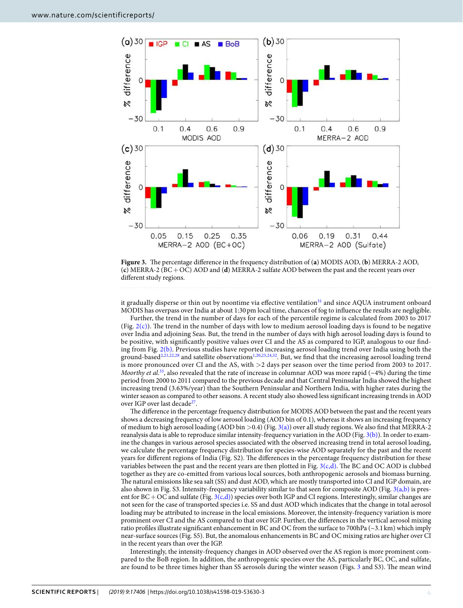

<span id="page-3-0"></span>**Figure 3.** The percentage difference in the frequency distribution of (**a**) MODIS AOD, (**b**) MERRA-2 AOD, (**c**) MERRA-2 (BC + OC) AOD and (**d**) MERRA-2 sulfate AOD between the past and the recent years over different study regions.

it gradually disperse or thin out by noontime via effective ventilation<sup>[31](#page-8-0)</sup> and since AQUA instrument onboard MODIS has overpass over India at about 1:30 pm local time, chances of fog to influence the results are negligible.

Further, the trend in the number of days for each of the percentile regime is calculated from 2003 to 2017 (Fig. [2\(c\)\)](#page-2-0). The trend in the number of days with low to medium aerosol loading days is found to be negative over India and adjoining Seas. But, the trend in the number of days with high aerosol loading days is found to be positive, with significantly positive values over CI and the AS as compared to IGP, analogous to our finding from Fig. [2\(b\).](#page-2-0) Previous studies have reported increasing aerosol loading trend over India using both the ground-based<sup>[2,](#page-7-10)[21,](#page-7-22)[22,](#page-7-19)[28](#page-7-17)</sup> and satellite observations<sup>[1](#page-7-0)[,20](#page-7-16),[23](#page-7-21),[24](#page-7-23),[32](#page-8-1)</sup>. But, we find that the increasing aerosol loading trend is more pronounced over CI and the AS, with >2 days per season over the time period from 2003 to 2017. Moorthy et al.<sup>[33](#page-8-2)</sup>, also revealed that the rate of increase in columnar AOD was more rapid (~4%) during the time period from 2000 to 2011 compared to the previous decade and that Central Peninsular India showed the highest increasing trend (3.63%/year) than the Southern Peninsular and Northern India, with higher rates during the winter season as compared to other seasons. A recent study also showed less significant increasing trends in AOD over IGP over last decade<sup>[27](#page-7-24)</sup>.

The difference in the percentage frequency distribution for MODIS AOD between the past and the recent years shows a decreasing frequency of low aerosol loading (AOD bin of 0.1), whereas it shows an increasing frequency of medium to high aerosol loading (AOD bin >0.4) (Fig. [3\(a\)](#page-3-0)) over all study regions. We also find that MERRA-2 reanalysis data is able to reproduce similar intensity-frequency variation in the AOD (Fig. [3\(b\)](#page-3-0)). In order to examine the changes in various aerosol species associated with the observed increasing trend in total aerosol loading, we calculate the percentage frequency distribution for species-wise AOD separately for the past and the recent years for different regions of India (Fig. S2). The differences in the percentage frequency distribution for these variables between the past and the recent years are then plotted in Fig. [3\(c,d\).](#page-3-0) The BC and OC AOD is clubbed together as they are co-emitted from various local sources, both anthropogenic aerosols and biomass burning. The natural emissions like sea salt (SS) and dust AOD, which are mostly transported into CI and IGP domain, are also shown in Fig. S3. Intensity-frequency variability similar to that seen for composite AOD (Fig. [3\(a,b\)](#page-3-0) is present for  $BC + OC$  and sulfate (Fig. [3\(c,d\)\)](#page-3-0) species over both IGP and CI regions. Interestingly, similar changes are not seen for the case of transported species i.e. SS and dust AOD which indicates that the change in total aerosol loading may be attributed to increase in the local emissions. Moreover, the intensity-frequency variation is more prominent over CI and the AS compared to that over IGP. Further, the differences in the vertical aerosol mixing ratio profiles illustrate significant enhancement in BC and OC from the surface to 700hPa (~3.1 km) which imply near-surface sources (Fig. S5). But, the anomalous enhancements in BC and OC mixing ratios are higher over CI in the recent years than over the IGP.

Interestingly, the intensity-frequency changes in AOD observed over the AS region is more prominent compared to the BoB region. In addition, the anthropogenic species over the AS, particularly BC, OC, and sulfate, are found to be three times higher than SS aerosols during the winter season (Figs. [3](#page-3-0) and S3). The mean wind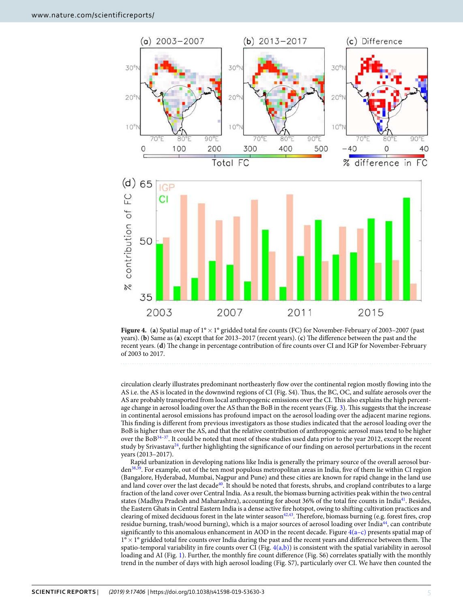

<span id="page-4-0"></span>

circulation clearly illustrates predominant northeasterly flow over the continental region mostly flowing into the AS i.e. the AS is located in the downwind regions of CI (Fig. S4). Thus, the BC, OC, and sulfate aerosols over the AS are probably transported from local anthropogenic emissions over the CI. This also explains the high percentage change in aerosol loading over the AS than the BoB in the recent years (Fig. [3](#page-3-0)). This suggests that the increase in continental aerosol emissions has profound impact on the aerosol loading over the adjacent marine regions. This finding is different from previous investigators as those studies indicated that the aerosol loading over the BoB is higher than over the AS, and that the relative contribution of anthropogenic aerosol mass tend to be higher over the BoB[34–](#page-8-3)[37](#page-8-4). It could be noted that most of these studies used data prior to the year 2012, except the recent study by Srivastava<sup>[24](#page-7-23)</sup>, further highlighting the significance of our finding on aerosol perturbations in the recent years (2013–2017).

Rapid urbanization in developing nations like India is generally the primary source of the overall aerosol burden[38,](#page-8-5)[39](#page-8-6). For example, out of the ten most populous metropolitan areas in India, five of them lie within CI region (Bangalore, Hyderabad, Mumbai, Nagpur and Pune) and these cities are known for rapid change in the land use and land cover over the last decade<sup>[40](#page-8-7)</sup>. It should be noted that forests, shrubs, and cropland contributes to a large fraction of the land cover over Central India. As a result, the biomass burning activities peak within the two central states (Madhya Pradesh and Maharashtra), accounting for about 36% of the total fire counts in India<sup>[41](#page-8-8)</sup>. Besides, the Eastern Ghats in Central Eastern India is a dense active fire hotspot, owing to shifting cultivation practices and clearing of mixed deciduous forest in the late winter season<sup>[42](#page-8-9),[43](#page-8-10)</sup>. Therefore, biomass burning (e.g. forest fires, crop residue burning, trash/wood burning), which is a major sources of aerosol loading over India[44](#page-8-11), can contribute significantly to this anomalous enhancement in AOD in the recent decade. Figure  $4(a-c)$  presents spatial map of  $1^\circ \times 1^\circ$  gridded total fire counts over India during the past and the recent years and difference between them. The spatio-temporal variability in fire counts over CI (Fig.  $4(a,b)$ ) is consistent with the spatial variability in aerosol loading and AI (Fig. [1](#page-1-0)). Further, the monthly fire count difference (Fig. S6) correlates spatially with the monthly trend in the number of days with high aerosol loading (Fig. S7), particularly over CI. We have then counted the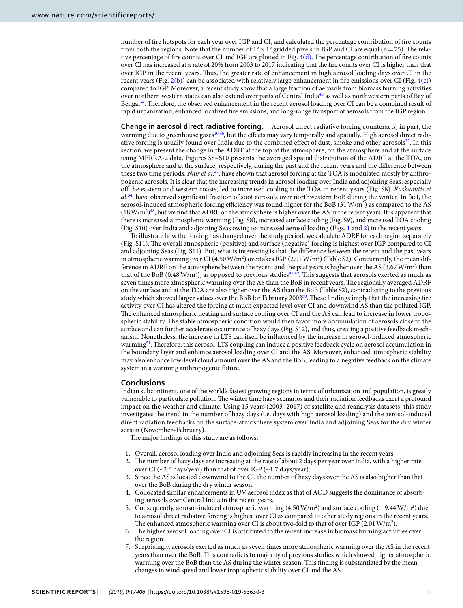number of fire hotspots for each year over IGP and CI, and calculated the percentage contribution of fire counts from both the regions. Note that the number of  $1^{\circ} \times 1^{\circ}$  gridded pixels in IGP and CI are equal (n = 75). The relative percentage of fire counts over CI and IGP are plotted in Fig. [4\(d\).](#page-4-0) The percentage contribution of fire counts over CI has increased at a rate of 20% from 2003 to 2017 indicating that the fire counts over CI is higher than that over IGP in the recent years. Thus, the greater rate of enhancement in high aerosol loading days over CI in the recent years (Fig.  $2(b)$ ) can be associated with relatively large enhancement in fire emissions over CI (Fig.  $4(c)$ ) compared to IGP. Moreover, a recent study show that a large fraction of aerosols from biomass burning activities over northern western states can also extend over parts of Central India[45](#page-8-12) as well as northwestern parts of Bay of Bengal[34](#page-8-3). Therefore, the observed enhancement in the recent aerosol loading over CI can be a combined result of rapid urbanization, enhanced localized fire emissions, and long-range transport of aerosols from the IGP region.

**Change in aerosol direct radiative forcing.** Aerosol direct radiative forcing counteracts, in part, the warming due to greenhouse gases<sup>[10](#page-7-7),[46](#page-8-13)</sup>, but the effects may vary temporally and spatially. High aerosol direct radi-ative forcing is usually found over India due to the combined effect of dust, smoke and other aerosols<sup>[32](#page-8-1)</sup>. In this section, we present the change in the ADRF at the top of the atmosphere, on the atmosphere and at the surface using MERRA-2 data. Figures S8–S10 presents the averaged spatial distribution of the ADRF at the TOA, on the atmosphere and at the surface, respectively, during the past and the recent years and the difference between these two time periods. Nair et al.<sup>[47](#page-8-14)</sup>, have shown that aerosol forcing at the TOA is modulated mostly by anthropogenic aerosols. It is clear that the increasing trends in aerosol loading over India and adjoining Seas, especially off the eastern and western coasts, led to increased cooling at the TOA in recent years (Fig. S8). Kaskaoutis et al. [34](#page-8-3), have observed significant fraction of soot aerosols over northwestern BoB during the winter. In fact, the aerosol-induced atmospheric forcing efficiency was found higher for the BoB  $(31 \text{ W/m}^2)$  as compared to the AS  $(18 \text{ W/m}^2)^{48}$  $(18 \text{ W/m}^2)^{48}$  $(18 \text{ W/m}^2)^{48}$ , but we find that ADRF on the atmosphere is higher over the AS in the recent years. It is apparent that there is increased atmospheric warming (Fig. S8), increased surface cooling (Fig. S9), and increased TOA cooling (Fig. S10) over India and adjoining Seas owing to increased aerosol loading (Figs. [1](#page-1-0) and [2](#page-2-0)) in the recent years.

To illustrate how the forcing has changed over the study period, we calculate ADRF for each region separately (Fig. S11). The overall atmospheric (positive) and surface (negative) forcing is highest over IGP compared to CI and adjoining Seas (Fig. S11). But, what is interesting is that the difference between the recent and the past years in atmospheric warming over CI (4.50 W/m<sup>2</sup>) overtakes IGP (2.01 W/m<sup>2</sup>) (Table S2). Concurrently, the mean difference in ADRF on the atmosphere between the recent and the past years is higher over the AS (3.67 W/m<sup>2</sup>) than that of the BoB (0.48 W/m<sup>2</sup>), as opposed to previous studies<sup>[48,](#page-8-15)[49](#page-8-16)</sup>. This suggests that aerosols exerted as much as seven times more atmospheric warming over the AS than the BoB in recent years. The regionally averaged ADRF on the surface and at the TOA are also higher over the AS than the BoB (Table S2), contradicting to the previous study which showed larger values over the BoB for February 2003<sup>[50](#page-8-17)</sup>. These findings imply that the increasing fire activity over CI has altered the forcing at much expected level over CI and downwind AS than the polluted IGP. The enhanced atmospheric heating and surface cooling over CI and the AS can lead to increase in lower tropospheric stability. The stable atmospheric condition would then favor more accumulation of aerosols close to the surface and can further accelerate occurrence of hazy days (Fig. S12), and thus, creating a positive feedback mechanism. Nonetheless, the increase in LTS can itself be influenced by the increase in aerosol-induced atmospheric warming<sup>[51](#page-8-18)</sup>. Therefore, this aerosol-LTS coupling can induce a positive feedback cycle on aerosol accumulation in the boundary layer and enhance aerosol loading over CI and the AS. Moreover, enhanced atmospheric stability may also enhance low-level cloud amount over the AS and the BoB, leading to a negative feedback on the climate system in a warming anthropogenic future.

#### **Conclusions**

Indian subcontinent, one of the world's fastest growing regions in terms of urbanization and population, is greatly vulnerable to particulate pollution. The winter time hazy scenarios and their radiation feedbacks exert a profound impact on the weather and climate. Using 15 years (2003–2017) of satellite and reanalysis datasets, this study investigates the trend in the number of hazy days (i.e. days with high aerosol loading) and the aerosol-induced direct radiation feedbacks on the surface-atmosphere system over India and adjoining Seas for the dry winter season (November–February).

The major findings of this study are as follows;

- 1. Overall, aerosol loading over India and adjoining Seas is rapidly increasing in the recent years.
- 2. The number of hazy days are increasing at the rate of about 2 days per year over India, with a higher rate over CI ( $\sim$ 2.6 days/year) than that of over IGP ( $\sim$ 1.7 days/year).
- 3. Since the AS is located downwind to the CI, the number of hazy days over the AS is also higher than that over the BoB during the dry winter season.
- 4. Collocated similar enhancements in UV aerosol index as that of AOD suggests the dominance of absorbing aerosols over Central India in the recent years.
- 5. Consequently, aerosol-induced atmospheric warming (4.50 W/m<sup>2</sup> ) and surface cooling (−9.44 W/m<sup>2</sup> ) due to aerosol direct radiative forcing is highest over CI as compared to other study regions in the recent years. The enhanced atmospheric warming over CI is about two-fold to that of over IGP (2.01  $W/m<sup>2</sup>$ ).
- 6. The higher aerosol loading over CI is attributed to the recent increase in biomass burning activities over the region.
- 7. Surprisingly, aerosols exerted as much as seven times more atmospheric warming over the AS in the recent years than over the BoB. This contradicts to majority of previous studies which showed higher atmospheric warming over the BoB than the AS during the winter season. This finding is substantiated by the mean changes in wind speed and lower tropospheric stability over CI and the AS.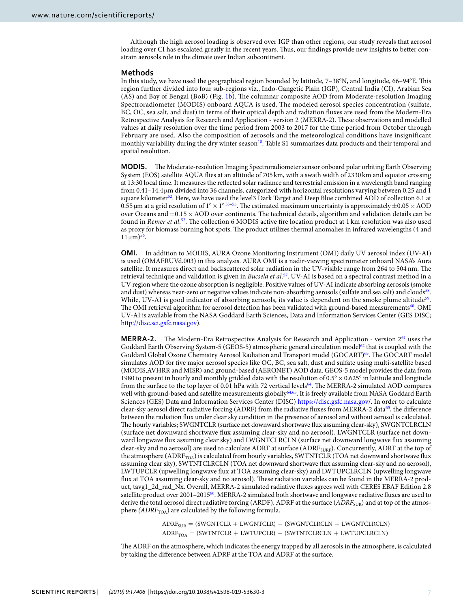Although the high aerosol loading is observed over IGP than other regions, our study reveals that aerosol loading over CI has escalated greatly in the recent years. Thus, our findings provide new insights to better constrain aerosols role in the climate over Indian subcontinent.

#### **Methods**

In this study, we have used the geographical region bounded by latitude, 7–38°N, and longitude, 66–94°E. This region further divided into four sub-regions viz., Indo-Gangetic Plain (IGP), Central India (CI), Arabian Sea (AS) and Bay of Bengal (BoB) (Fig. [1b\)](#page-1-0). The columnar composite AOD from Moderate-resolution Imaging Spectroradiometer (MODIS) onboard AQUA is used. The modeled aerosol species concentration (sulfate, BC, OC, sea salt, and dust) in terms of their optical depth and radiation fluxes are used from the Modern-Era Retrospective Analysis for Research and Application - version 2 (MERRA-2). These observations and modelled values at daily resolution over the time period from 2003 to 2017 for the time period from October through February are used. Also the composition of aerosols and the meteorological conditions have insignificant monthly variability during the dry winter season<sup>[18](#page-7-14)</sup>. Table S1 summarizes data products and their temporal and spatial resolution.

**MODIS.** The Moderate-resolution Imaging Spectroradiometer sensor onboard polar orbiting Earth Observing System (EOS) satellite AQUA flies at an altitude of 705 km, with a swath width of 2330 km and equator crossing at 13:30 local time. It measures the reflected solar radiance and terrestrial emission in a wavelength band ranging from 0.41–14.4 µm divided into 36 channels, categorized with horizontal resolutions varying between 0.25 and 1 square kilometer<sup>[52](#page-8-19)</sup>. Here, we have used the level3 Dark Target and Deep Blue combined AOD of collection 6.1 at 0.[55](#page-8-21) µm at a grid resolution of  $1^{\circ} \times 1^{\circ}$  [53–](#page-8-20)55. The estimated maximum uncertainty is approximately  $\pm$ 0.05  $\times$  AOD over Oceans and ±0.15 × AOD over continents. The technical details, algorithm and validation details can be found in Remer et al.<sup>[52](#page-8-19)</sup>. The collection 6 MODIS active fire location product at 1 km resolution was also used as proxy for biomass burning hot spots. The product utilizes thermal anomalies in infrared wavelengths (4 and  $11 \,\mathrm{\mu m}$ <sup>[56](#page-8-22)</sup>.

**OMI.** In addition to MODIS, AURA Ozone Monitoring Instrument (OMI) daily UV aerosol index (UV-AI) is used (OMAERUVd.003) in this analysis. AURA OMI is a nadir-viewing spectrometer onboard NASA's Aura satellite. It measures direct and backscattered solar radiation in the UV-visible range from 264 to 504 nm. The retrieval technique and validation is given in Bucsela et al.<sup>[57](#page-8-23)</sup>. UV-AI is based on a spectral contrast method in a UV region where the ozone absorption is negligible. Positive values of UV-AI indicate absorbing aerosols (smoke and dust) whereas near-zero or negative values indicate non-absorbing aerosols (sulfate and sea salt) and clouds<sup>[58](#page-8-24)</sup>. While, UV-AI is good indicator of absorbing aerosols, its value is dependent on the smoke plume altitude<sup>[59](#page-8-25)</sup>. The OMI retrieval algorithm for aerosol detection has been validated with ground-based measurements<sup>[60](#page-8-26)</sup>. OMI UV-AI is available from the NASA Goddard Earth Sciences, Data and Information Services Center (GES DISC; <http://disc.sci.gsfc.nasa.gov>).

**MERRA-2.** The Modern-Era Retrospective Analysis for Research and Application - version 2<sup>[61](#page-8-27)</sup> uses the Goddard Earth Observing System-5 (GEOS-5) atmospheric general circulation model<sup>[62](#page-8-28)</sup> that is coupled with the Goddard Global Ozone Chemistry Aerosol Radiation and Transport model (GOCART)[63](#page-8-29). The GOCART model simulates AOD for five major aerosol species like OC, BC, sea salt, dust and sulfate using multi-satellite based (MODIS,AVHRR and MISR) and ground-based (AERONET) AOD data. GEOS-5 model provides the data from 1980 to present in hourly and monthly gridded data with the resolution of 0.5° × 0.625° in latitude and longitude from the surface to the top layer of 0.01 hPa with 72 vertical levels<sup>[64](#page-8-30)</sup>. The MERRA-2 simulated AOD compares well with ground-based and satellite measurements globally<sup>[64,](#page-8-30)[65](#page-8-31)</sup>. It is freely available from NASA Goddard Earth Sciences (GES) Data and Information Services Center (DISC) <https://disc.gsfc.nasa.gov/>. In order to calculate clear-sky aerosol direct radiative forcing (ADRF) from the radiative fluxes from MERRA-2 data<sup>[65](#page-8-31)</sup>, the difference between the radiation flux under clear sky condition in the presence of aerosol and without aerosol is calculated. The hourly variables; SWGNTCLR (surface net downward shortwave flux assuming clear-sky), SWGNTCLRCLN (surface net downward shortwave flux assuming clear-sky and no aerosol), LWGNTCLR (surface net downward longwave flux assuming clear sky) and LWGNTCLRCLN (surface net downward longwave flux assuming clear-sky and no aerosol) are used to calculate ADRF at surface (ADRF<sub>SURF</sub>). Concurrently, ADRF at the top of the atmosphere (ADRF<sub>TOA</sub>) is calculated from hourly variables, SWTNTCLR (TOA net downward shortwave flux assuming clear sky), SWTNTCLRCLN (TOA net downward shortwave flux assuming clear-sky and no aerosol), LWTUPCLR (upwelling longwave flux at TOA assuming clear-sky) and LWTUPCLRCLN (upwelling longwave flux at TOA assuming clear-sky and no aerosol). These radiation variables can be found in the MERRA-2 product, tavg1\_2d\_rad\_Nx. Overall, MERRA-2 simulated radiative fluxes agrees well with CERES EBAF Edition 2.8 satellite product over 2001–2015[66](#page-8-32). MERRA-2 simulated both shortwave and longwave radiative fluxes are used to derive the total aerosol direct radiative forcing (ARDF). ADRF at the surface (ADRF<sub>SUR</sub>) and at top of the atmosphere ( $ADRF<sub>TOA</sub>$ ) are calculated by the following formula.

> $\text{ADRF}_{\text{SUR}} = (\text{SWGNTCLR} + \text{LWGNTCLR}) - (\text{SWGNTCLRCLN} + \text{LWGNTCLRCLN})$  $\text{ADRF}_{\text{TOA}} = (\text{SWTNTCLR} + \text{LWTUPCLR}) - (\text{SWTNTCLRCLN} + \text{LWTUPCLRCLN})$

The ADRF on the atmosphere, which indicates the energy trapped by all aerosols in the atmosphere, is calculated by taking the difference between ADRF at the TOA and ADRF at the surface.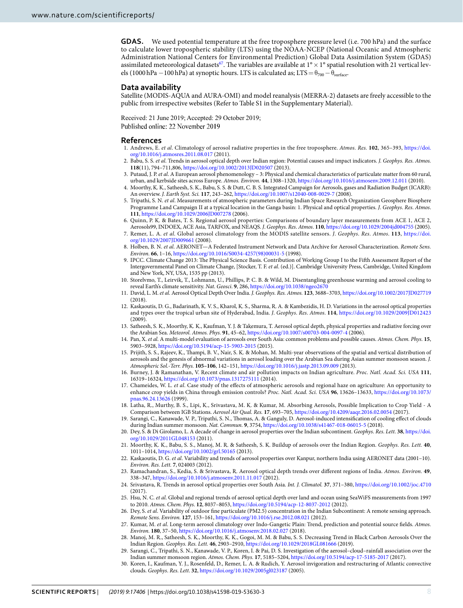**GDAS.** We used potential temperature at the free troposphere pressure level (i.e. 700 hPa) and the surface to calculate lower tropospheric stability (LTS) using the NOAA-NCEP (National Oceanic and Atmospheric Administration National Centers for Environmental Prediction) Global Data Assimilation System (GDAS) assimilated meteorological datasets<sup>[67](#page-8-33)</sup>. The variables are available at  $1^{\circ} \times 1^{\circ}$  spatial resolution with 21 vertical levels (1000 hPa −100 hPa) at synoptic hours. LTS is calculated as; LTS =  $\theta_{700} - \theta_{surface}$ .

#### **Data availability**

Satellite (MODIS-AQUA and AURA-OMI) and model reanalysis (MERRA-2) datasets are freely accessible to the public from irrespective websites (Refer to Table S1 in the Supplementary Material).

Received: 21 June 2019; Accepted: 29 October 2019;

Published online: 22 November 2019

#### **References**

- <span id="page-7-0"></span> 1. Andrews, E. et al. Climatology of aerosol radiative properties in the free troposphere. Atmos. Res. **102**, 365–393, [https://doi.](https://doi.org/10.1016/j.atmosres.2011.08.017) [org/10.1016/j.atmosres.2011.08.017](https://doi.org/10.1016/j.atmosres.2011.08.017) (2011).
- <span id="page-7-10"></span>2. Babu, S. S. et al. Trends in aerosol optical depth over Indian region: Potential causes and impact indicators. J. Geophys. Res. Atmos. **118**(11), 794–711,806, <https://doi.org/10.1002/2013JD020507> (2013).
- <span id="page-7-1"></span> 3. Putaud, J. P. et al. A European aerosol phenomenology – 3: Physical and chemical characteristics of particulate matter from 60 rural, urban, and kerbside sites across Europe. Atmos. Environ. **44**, 1308–1320,<https://doi.org/10.1016/j.atmosenv.2009.12.011>(2010).
- <span id="page-7-2"></span> 4. Moorthy, K. K., Satheesh, S. K., Babu, S. S. & Dutt, C. B. S. Integrated Campaign for Aerosols, gases and Radiation Budget (ICARB): An overview. J. Earth Syst. Sci. **117**, 243–262, <https://doi.org/10.1007/s12040-008-0029-7>(2008).
- 5. Tripathi, S. N. et al. Measurements of atmospheric parameters during Indian Space Research Organization Geosphere Biosphere Programme Land Campaign II at a typical location in the Ganga basin: 1. Physical and optical properties. J. Geophys. Res. Atmos. **111**,<https://doi.org/10.1029/2006JD007278> (2006).
- <span id="page-7-3"></span> 6. Quinn, P. K. & Bates, T. S. Regional aerosol properties: Comparisons of boundary layer measurements from ACE 1, ACE 2, Aerosols99, INDOEX, ACE Asia, TARFOX, and NEAQS. J. Geophys. Res. Atmos. **110**, <https://doi.org/10.1029/2004jd004755> (2005).
- <span id="page-7-4"></span> 7. Remer, L. A. et al. Global aerosol climatology from the MODIS satellite sensors. J. Geophys. Res. Atmos. **113**, [https://doi.](https://doi.org/10.1029/2007JD009661) [org/10.1029/2007JD009661](https://doi.org/10.1029/2007JD009661) (2008).
- <span id="page-7-5"></span>8. Holben, B. N. et al. AERONET-A Federated Instrument Network and Data Archive for Aerosol Characterization. Remote Sens. Environ. **66**, 1–16, [https://doi.org/10.1016/S0034-4257\(98\)00031-5](https://doi.org/10.1016/S0034-4257(98)00031-5) (1998).
- <span id="page-7-6"></span> 9. IPCC. Climate Change 2013: The Physical Science Basis. Contribution of Working Group I to the Fifth Assessment Report of the Intergovernmental Panel on Climate Change, [Stocker, T. F. et al. (ed.)]. Cambridge University Press, Cambridge, United Kingdom and New York, NY, USA, 1535 pp (2013).
- <span id="page-7-7"></span> 10. Storelvmo, T., Leirvik, T., Lohmann, U., Phillips, P. C. B. & Wild, M. Disentangling greenhouse warming and aerosol cooling to reveal Earth's climate sensitivity. Nat. Geosci. **9**, 286,<https://doi.org/10.1038/ngeo2670>
- <span id="page-7-8"></span> 11. David, L. M. et al. Aerosol Optical Depth Over India. J. Geophys. Res. Atmos. **123**, 3688–3703, <https://doi.org/10.1002/2017JD027719> (2018).
- 12. Kaskaoutis, D. G., Badarinath, K. V. S., Kharol, K. S., Sharma, R. A. & Kambezidis, H. D. Variations in the aerosol optical properties and types over the tropical urban site of Hyderabad, India. J. Geophys. Res. Atmos. **114**,<https://doi.org/10.1029/2009JD012423> (2009).
- <span id="page-7-9"></span> 13. Satheesh, S. K., Moorthy, K. K., Kaufman, Y. J. & Takemura, T. Aerosol optical depth, physical properties and radiative forcing over the Arabian Sea. Meteorol. Atmos. Phys. **91**, 45–62,<https://doi.org/10.1007/s00703-004-0097-4> (2006).
- <span id="page-7-11"></span> 14. Pan, X. et al. A multi-model evaluation of aerosols over South Asia: common problems and possible causes. Atmos. Chem. Phys. **15**, 5903–5928, <https://doi.org/10.5194/acp-15-5903-2015> (2015).
- <span id="page-7-12"></span> 15. Prijith, S. S., Rajeev, K., Thampi, B. V., Nair, S. K. & Mohan, M. Multi-year observations of the spatial and vertical distribution of aerosols and the genesis of abnormal variations in aerosol loading over the Arabian Sea during Asian summer monsoon season. J. Atmospheric Sol.-Terr. Phys. **105–106**, 142–151,<https://doi.org/10.1016/j.jastp.2013.09.009>(2013).
- <span id="page-7-13"></span> 16. Burney, J. & Ramanathan, V. Recent climate and air pollution impacts on Indian agriculture. Proc. Natl. Acad. Sci. USA **111**, 16319–16324, <https://doi.org/10.1073/pnas.1317275111>(2014).
- 17. Chameides, W. L. et al. Case study of the effects of atmospheric aerosols and regional haze on agriculture: An opportunity to enhance crop yields in China through emission controls? Proc. Natl. Acad. Sci. USA **96**, 13626–13633, [https://doi.org/10.1073/](https://doi.org/10.1073/pnas.96.24.13626) [pnas.96.24.13626](https://doi.org/10.1073/pnas.96.24.13626) (1999).
- <span id="page-7-14"></span> 18. Latha, R., Murthy, B. S., Lipi, K., Srivastava, M. K. & Kumar, M. Absorbing Aerosols, Possible Implication to Crop Yield - A Comparison between IGB Stations. Aerosol Air Qual. Res. **17**, 693–705,<https://doi.org/10.4209/aaqr.2016.02.0054> (2017).
- <span id="page-7-15"></span> 19. Sarangi, C., Kanawade, V. P., Tripathi, S. N., Thomas, A. & Ganguly, D. Aerosol-induced intensification of cooling effect of clouds during Indian summer monsoon. Nat. Commun. **9**, 3754, <https://doi.org/10.1038/s41467-018-06015-5> (2018).
- <span id="page-7-16"></span> 20. Dey, S. & Di Girolamo, L. A decade of change in aerosol properties over the Indian subcontinent. Geophys. Res. Lett. **38**, [https://doi.](https://doi.org/10.1029/2011GL048153) [org/10.1029/2011GL048153](https://doi.org/10.1029/2011GL048153) (2011).
- <span id="page-7-22"></span> 21. Moorthy, K. K., Babu, S. S., Manoj, M. R. & Satheesh, S. K. Buildup of aerosols over the Indian Region. Geophys. Res. Lett. **40**, 1011–1014, <https://doi.org/10.1002/grl.50165>(2013).
- <span id="page-7-19"></span> 22. Kaskaoutis, D. G. et al. Variability and trends of aerosol properties over Kanpur, northern India using AERONET data (2001–10). Environ. Res. Lett. **7**, 024003 (2012).
- <span id="page-7-21"></span> 23. Ramachandran, S., Kedia, S. & Srivastava, R. Aerosol optical depth trends over different regions of India. Atmos. Environ. **49**, 338–347,<https://doi.org/10.1016/j.atmosenv.2011.11.017> (2012).
- <span id="page-7-23"></span> 24. Srivastava, R. Trends in aerosol optical properties over South Asia. Int. J. Climatol. **37**, 371–380, <https://doi.org/10.1002/joc.4710>  $(2017)$
- <span id="page-7-20"></span>25. Hsu, N. C. et al. Global and regional trends of aerosol optical depth over land and ocean using SeaWiFS measurements from 1997 to 2010. Atmos. Chem. Phys. **12**, 8037–8053,<https://doi.org/10.5194/acp-12-8037-2012> (2012).
- <span id="page-7-18"></span> 26. Dey, S. et al. Variability of outdoor fine particulate (PM2.5) concentration in the Indian Subcontinent: A remote sensing approach. Remote Sens. Environ. **127**, 153–161,<https://doi.org/10.1016/j.rse.2012.08.021> (2012).
- <span id="page-7-24"></span>27. Kumar, M. et al. Long-term aerosol climatology over Indo-Gangetic Plain: Trend, prediction and potential source fields. Atmos. Environ. **180**, 37–50,<https://doi.org/10.1016/j.atmosenv.2018.02.027>(2018).
- <span id="page-7-17"></span> 28. Manoj, M. R., Satheesh, S. K., Moorthy, K. K., Gogoi, M. M. & Babu, S. S. Decreasing Trend in Black Carbon Aerosols Over the Indian Region. Geophys. Res. Lett. **46**, 2903–2910,<https://doi.org/10.1029/2018GL081666>(2019).
- <span id="page-7-25"></span> 29. Sarangi, C., Tripathi, S. N., Kanawade, V. P., Koren, I. & Pai, D. S. Investigation of the aerosol–cloud–rainfall association over the Indian summer monsoon region. Atmos. Chem. Phys. **17**, 5185–5204,<https://doi.org/10.5194/acp-17-5185-2017> (2017).
- <span id="page-7-26"></span> 30. Koren, I., Kaufman, Y. J., Rosenfeld, D., Remer, L. A. & Rudich, Y. Aerosol invigoration and restructuring of Atlantic convective clouds. Geophys. Res. Lett. **32**,<https://doi.org/10.1029/2005gl023187>(2005).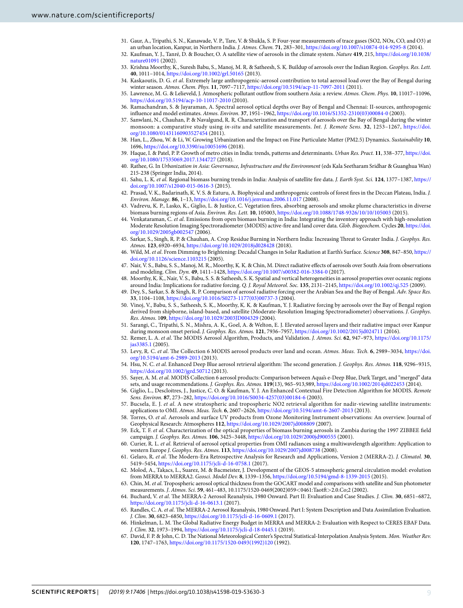- <span id="page-8-0"></span> 31. Gaur, A., Tripathi, S. N., Kanawade, V. P., Tare, V. & Shukla, S. P. Four-year measurements of trace gases (SO2, NOx, CO, and O3) at an urban location, Kanpur, in Northern India. J. Atmos. Chem. **71**, 283–301,<https://doi.org/10.1007/s10874-014-9295-8> (2014).
- <span id="page-8-1"></span> 32. Kaufman, Y. J., Tanré, D. & Boucher, O. A satellite view of aerosols in the climate system. Nature **419**, 215, [https://doi.org/10.1038/](https://doi.org/10.1038/nature01091) [nature01091](https://doi.org/10.1038/nature01091) (2002).
- <span id="page-8-2"></span> 33. Krishna Moorthy, K., Suresh Babu, S., Manoj, M. R. & Satheesh, S. K. Buildup of aerosols over the Indian Region. Geophys. Res. Lett. **40**, 1011–1014,<https://doi.org/10.1002/grl.50165> (2013).
- <span id="page-8-3"></span> 34. Kaskaoutis, D. G. et al. Extremely large anthropogenic-aerosol contribution to total aerosol load over the Bay of Bengal during winter season. Atmos. Chem. Phys. **11**, 7097–7117,<https://doi.org/10.5194/acp-11-7097-2011>(2011).
- 35. Lawrence, M. G. & Lelieveld, J. Atmospheric pollutant outflow from southern Asia: a review. Atmos. Chem. Phys. **10**, 11017–11096, <https://doi.org/10.5194/acp-10-11017-2010>(2010).
- 36. Ramachandran, S. & Jayaraman, A. Spectral aerosol optical depths over Bay of Bengal and Chennai: II-sources, anthropogenic influence and model estimates. Atmos. Environ. **37**, 1951–1962, [https://doi.org/10.1016/S1352-2310\(03\)00084-0](https://doi.org/10.1016/S1352-2310(03)00084-0) (2003).
- <span id="page-8-4"></span> 37. Sanwlani, N., Chauhan, P. & Navalgund, R. R. Characterization and transport of aerosols over the Bay of Bengal during the winter monsoon: a comparative study using in-situ and satellite measurements. Int. J. Remote Sens. **32**, 1253–1267, [https://doi.](https://doi.org/10.1080/01431160903527454) [org/10.1080/01431160903527454](https://doi.org/10.1080/01431160903527454) (2011).
- <span id="page-8-5"></span> 38. Han, L., Zhou, W. & Li, W. Growing Urbanization and the Impact on Fine Particulate Matter (PM2.5) Dynamics. Sustainability **10**, 1696,<https://doi.org/10.3390/su10051696> (2018).
- <span id="page-8-6"></span> 39. Haque, I. & Patel, P. P. Growth of metro cities in India: trends, patterns and determinants. Urban Res. Pract. **11**, 338–377, [https://doi.](https://doi.org/10.1080/17535069.2017.1344727) [org/10.1080/17535069.2017.1344727](https://doi.org/10.1080/17535069.2017.1344727) (2018).
- <span id="page-8-7"></span> 40. Rathee, G. In Urbanization in Asia: Governance, Infrastructure and the Environment (eds Kala Seetharam Sridhar & Guanghua Wan) 215-238 (Springer India, 2014).
- <span id="page-8-8"></span> 41. Sahu, L. K. et al. Regional biomass burning trends in India: Analysis of satellite fire data. J. Earth Syst. Sci. **124**, 1377–1387, [https://](https://doi.org/10.1007/s12040-015-0616-3) [doi.org/10.1007/s12040-015-0616-3](https://doi.org/10.1007/s12040-015-0616-3) (2015).
- <span id="page-8-9"></span> 42. Prasad, V. K., Badarinath, K. V. S. & Eaturu, A. Biophysical and anthropogenic controls of forest fires in the Deccan Plateau, India. J. Environ. Manage. **86**, 1–13, <https://doi.org/10.1016/j.jenvman.2006.11.017> (2008).
- <span id="page-8-10"></span> 43. Vadrevu, K. P., Lasko, K., Giglio, L. & Justice, C. Vegetation fires, absorbing aerosols and smoke plume characteristics in diverse biomass burning regions of Asia. Environ. Res. Lett. **10**, 105003,<https://doi.org/10.1088/1748-9326/10/10/105003> (2015).
- <span id="page-8-11"></span> 44. Venkataraman, C. et al. Emissions from open biomass burning in India: Integrating the inventory approach with high-resolution Moderate Resolution Imaging Spectroradiometer (MODIS) active-fire and land cover data. Glob. Biogeochem. Cycles **20**, [https://doi.](https://doi.org/10.1029/2005gb002547) [org/10.1029/2005gb002547](https://doi.org/10.1029/2005gb002547) (2006).
- <span id="page-8-12"></span> 45. Sarkar, S., Singh, R. P. & Chauhan, A. Crop Residue Burning in Northern India: Increasing Threat to Greater India. J. Geophys. Res. Atmos. **123**, 6920–6934,<https://doi.org/10.1029/2018jd028428> (2018).
- <span id="page-8-13"></span> 46. Wild, M. et al. From Dimming to Brightening: Decadal Changes in Solar Radiation at Earth's Surface. Science **308**, 847–850, [https://](https://doi.org/10.1126/science.1103215) [doi.org/10.1126/science.1103215](https://doi.org/10.1126/science.1103215) (2005).
- <span id="page-8-14"></span> 47. Nair, V. S., Babu, S. S., Manoj, M. R., Moorthy, K. K. & Chin, M. Direct radiative effects of aerosols over South Asia from observations and modeling. Clim. Dyn. **49**, 1411–1428, <https://doi.org/10.1007/s00382-016-3384-0>(2017).
- <span id="page-8-15"></span> 48. Moorthy, K. K., Nair, V. S., Babu, S. S. & Satheesh, S. K. Spatial and vertical heterogeneities in aerosol properties over oceanic regions around India: Implications for radiative forcing. Q. J. Royal Meteorol. Soc. **135**, 2131–2145,<https://doi.org/10.1002/qj.525>(2009).
- <span id="page-8-16"></span> 49. Dey, S., Sarkar, S. & Singh, R. P. Comparison of aerosol radiative forcing over the Arabian Sea and the Bay of Bengal. Adv. Space Res. **33**, 1104–1108, [https://doi.org/10.1016/S0273-1177\(03\)00737-3](https://doi.org/10.1016/S0273-1177(03)00737-3) (2004).
- <span id="page-8-17"></span> 50. Vinoj, V., Babu, S. S., Satheesh, S. K., Moorthy, K. K. & Kaufman, Y. J. Radiative forcing by aerosols over the Bay of Bengal region derived from shipborne, island-based, and satellite (Moderate-Resolution Imaging Spectroradiometer) observations. J. Geophys. Res. Atmos. 1**09**,<https://doi.org/10.1029/2003JD004329> (2004).
- <span id="page-8-18"></span> 51. Sarangi, C., Tripathi, S. N., Mishra, A. K., Goel, A. & Welton, E. J. Elevated aerosol layers and their radiative impact over Kanpur during monsoon onset period. J. Geophys. Res. Atmos. **121**, 7936–7957,<https://doi.org/10.1002/2015jd024711> (2016).
- <span id="page-8-19"></span> 52. Remer, L. A. et al. The MODIS Aerosol Algorithm, Products, and Validation. J. Atmos. Sci. **62**, 947–973, [https://doi.org/10.1175/](https://doi.org/10.1175/jas3385.1) [jas3385.1](https://doi.org/10.1175/jas3385.1) (2005).
- <span id="page-8-20"></span> 53. Levy, R. C. et al. The Collection 6 MODIS aerosol products over land and ocean. Atmos. Meas. Tech. **6**, 2989–3034, [https://doi.](https://doi.org/10.5194/amt-6-2989-2013) [org/10.5194/amt-6-2989-2013](https://doi.org/10.5194/amt-6-2989-2013) (2013).
- 54. Hsu, N. C. et al. Enhanced Deep Blue aerosol retrieval algorithm: The second generation. J. Geophys. Res. Atmos. **118**, 9296–9315, <https://doi.org/10.1002/jgrd.50712>(2013).
- <span id="page-8-21"></span> 55. Sayer, A. M. et al. MODIS Collection 6 aerosol products: Comparison between Aqua's e-Deep Blue, Dark Target, and "merged" data sets, and usage recommendations. J. Geophys. Res. Atmos. **119**(13), 965–913,989,<https://doi.org/10.1002/2014jd022453> (2014).
- <span id="page-8-22"></span> 56. Giglio, L., Descloitres, J., Justice, C. O. & Kaufman, Y. J. An Enhanced Contextual Fire Detection Algorithm for MODIS. Remote Sens. Environ. **87**, 273–282, [https://doi.org/10.1016/S0034-4257\(03\)00184-6](https://doi.org/10.1016/S0034-4257(03)00184-6) (2003).
- <span id="page-8-23"></span> 57. Bucsela, E. J. et al. A new stratospheric and tropospheric NO2 retrieval algorithm for nadir-viewing satellite instruments: applications to OMI. Atmos. Meas. Tech. **6**, 2607–2626,<https://doi.org/10.5194/amt-6-2607-2013> (2013).
- <span id="page-8-24"></span>Torres, O. et al. Aerosols and surface UV products from Ozone Monitoring Instrument observations: An overview. Journal of Geophysical Research: Atmospheres **112**, <https://doi.org/10.1029/2007jd008809>(2007).
- <span id="page-8-25"></span>59. Eck, T. F. et al. Characterization of the optical properties of biomass burning aerosols in Zambia during the 1997 ZIBBEE field campaign. J. Geophys. Res. Atmos. **106**, 3425–3448,<https://doi.org/10.1029/2000jd900555> (2001).
- <span id="page-8-26"></span> 60. Curier, R. L. et al. Retrieval of aerosol optical properties from OMI radiances using a multiwavelength algorithm: Application to western Europe J. Geophys. Res. Atmos. **113**,<https://doi.org/10.1029/2007jd008738> (2008).
- <span id="page-8-27"></span> 61. Gelaro, R. et al. The Modern-Era Retrospective Analysis for Research and Applications, Version 2 (MERRA-2). J. Climatol. **30**, 5419–5454, <https://doi.org/10.1175/jcli-d-16-0758.1>(2017).
- <span id="page-8-28"></span> 62. Molod, A., Takacs, L., Suarez, M. & Bacmeister, J. Development of the GEOS-5 atmospheric general circulation model: evolution from MERRA to MERRA2. Geosci. Model Dev. **8**, 1339–1356,<https://doi.org/10.5194/gmd-8-1339-2015> (2015).
- <span id="page-8-29"></span> 63. Chin, M. et al. Tropospheric aerosol optical thickness from the GOCART model and comparisons with satellite and Sun photometer measurements. J. Atmos. Sci. **59**, 461–483, 10.1175/1520-0469(2002)059<0461:Taotft>2.0.Co;2 (2002).
- <span id="page-8-30"></span> 64. Buchard, V. et al. The MERRA-2 Aerosol Reanalysis, 1980 Onward. Part II: Evaluation and Case Studies. J. Clim. **30**, 6851–6872, <https://doi.org/10.1175/jcli-d-16-0613.1>(2017).
- <span id="page-8-31"></span> 65. Randles, C. A. et al. The MERRA-2 Aerosol Reanalysis, 1980 Onward. Part I: System Description and Data Assimilation Evaluation. J. Clim. **30**, 6823–6850,<https://doi.org/10.1175/jcli-d-16-0609.1>(2017).
- <span id="page-8-32"></span> 66. Hinkelman, L. M. The Global Radiative Energy Budget in MERRA and MERRA-2: Evaluation with Respect to CERES EBAF Data. J. Clim. **32**, 1973–1994,<https://doi.org/10.1175/jcli-d-18-0445.1>(2019).
- <span id="page-8-33"></span> 67. David, F. P. & John, C. D. The National Meteorological Center's Spectral Statistical-Interpolation Analysis System. Mon. Weather Rev. **120**, 1747–1763, [https://doi.org/10.1175/1520-0493\(1992\)120](https://doi.org/10.1175/1520-0493(1992)120) (1992).